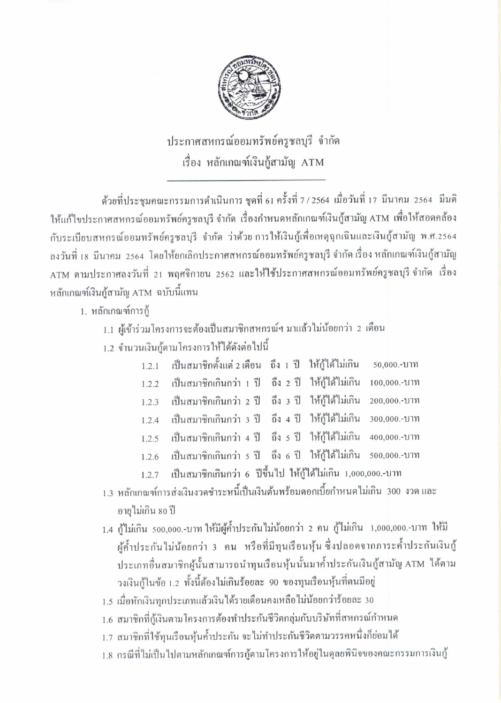

ประกาศสหกรณ์ออมทรัพย์ครูชลบุรี จำกัด เรื่อง หลักเกณฑ์เงินกู้สามัญ ATM

ค้วยที่ประชุมคณะกรรมการคำเนินการ ชุดที่ 61 ครั้งที่ 7 / 2564 เมื่อวันที่ 17 มีนาคม 2564 มีมติ ให้แก้ไขประกาศสหกรณ์ออมทรัพย์ครูชลบุรี จำกัด เรื่องกำหนดหลักเกณฑ์เงินกู้สามัญ ATM เพื่อให้สอดคล้อง กับระเบียบสหกรณ์ออมทรัพย์ครูชลบุรี จำกัด ว่าด้วยการให้เงินกู้เพื่อเหตุฉุกเฉินและเงินกู้สามัญ พ.ศ.2564 ลงวันที่ 18 มีนาคม 2564 โดยให้ยกเลิกประกาศสหกรณ์ออมทรัพย์ครูชลบุรี จำกัด เรื่อง หลักเกณฑ์เงินกู้สามัญ ATM ตามประกาศลงวันที่ 21 พฤศจิกายน 2562 และให้ใช้ประกาศสหกรณ์ออมทรัพย์ครูชลบุรี จำกัด เรื่อง หลักเกณฑ์เงินกู้สามัญ ATM ฉบับนี้แทน

1. หลักเกณฑ์การก้

- 1.1 ผู้เข้าร่วมโครงการจะต้องเป็นสมาชิกสหกรณ์ฯ มาแล้วไม่น้อยกว่า 2 เดือน
- 1.2 จำนวนเงินกู้ตามโครงการให้ได้ดังต่อไปนี้

| 1.2.1 เป็นสมาชิกตั้งแต่ 2 เดือน ถึง 1 ปี ให้กู้ได้ไม่เกิน 50,000.-บาท |  |              |
|-----------------------------------------------------------------------|--|--------------|
| 1.2.2 เป็นสมาชิกเกินกว่า 1 ปี ถึง 2 ปี ให้กู้ได้ไม่เกิน 100,000.-บาท  |  |              |
| 1.2.3 เป็นสมาชิกเกินกว่า 2 ปี ถึง 3 ปี ให้กู้ได้ไม่เกิน 200,000.-บาท  |  |              |
| 1.2.4 เป็นสมาชิกเกินกว่า 3 ปี ถึง 4 ปี ให้กู้ได้ไม่เกิน 300,000.-บาท  |  |              |
| 1.2.5 เป็นสมาชิกเกินกว่า 4 ปี ถึง 5 ปี ให้กู้ได้ไม่เกิน               |  | 400,000.-บาท |
| 1.2.6 เป็นสมาชิกเกินกว่า 5 ปี ถึง 6 ปี ให้กู้ได้ไม่เกิน 500,000.-บาท  |  |              |
| 1.2.7 เป็นสมาชิกเกินกว่า 6 ปีขึ้นไป ให้กู้ได้ไม่เกิน 1,000,000.-บาท   |  |              |

- 1.3 หลักเกณฑ์การส่งเงินงวดชำระหนี้เป็นเงินต้นพร้อมดอกเบี้ยกำหนดไม่เกิน 300 งวด และ อายุไม่เกิน 80 ปี
- 1.4 กู้ไม่เกิน 500,000.-บาท ให้มีผู้ค้ำประกันไม่น้อยกว่า 2 คน กู้ไม่เกิน 1,000,000.-บาท ให้มี ผู้ค้ำประกันไม่น้อยกว่า 3 คน หรือที่มีทุนเรือนหุ้น ซึ่งปลอดจากภาระค้ำประกันเงินกู้ ประเภทอื่นสมาชิกผู้นั้นสามารถนำทุนเรือนหุ้นนั้นมาค้ำประกันเงินกู้สามัญ ATM ได้ตาม วงเงินกู้ในข้อ 1.2 ทั้งนี้ต้องไม่เกินร้อยละ 90 ของทุนเรือนหุ้นที่ตนมีอยู่
- 1.5 เมื่อหักเงินทุกประเภทแล้วเงินได้รายเดือนคงเหลือไม่น้อยกว่าร้อยละ 30
- 1.6 สมาชิกที่กู้เงินตามโครงการต้องทำประกันชีวิตกลุ่มกับบริษัทที่สหกรณ์กำหนด
- 1.7 สมาชิกที่ใช้ทนเรือนหุ้นค้ำประกัน จะไม่ทำประกันชีวิตตามวรรคหนึ่งก็ย่อมได้
- 1.8 กรณีที่ไม่เป็นไปตามหลักเกณฑ์การกู้ตามโครงการให้อยู่ในดุลยพินิจของคณะกรรมการเงินกู้